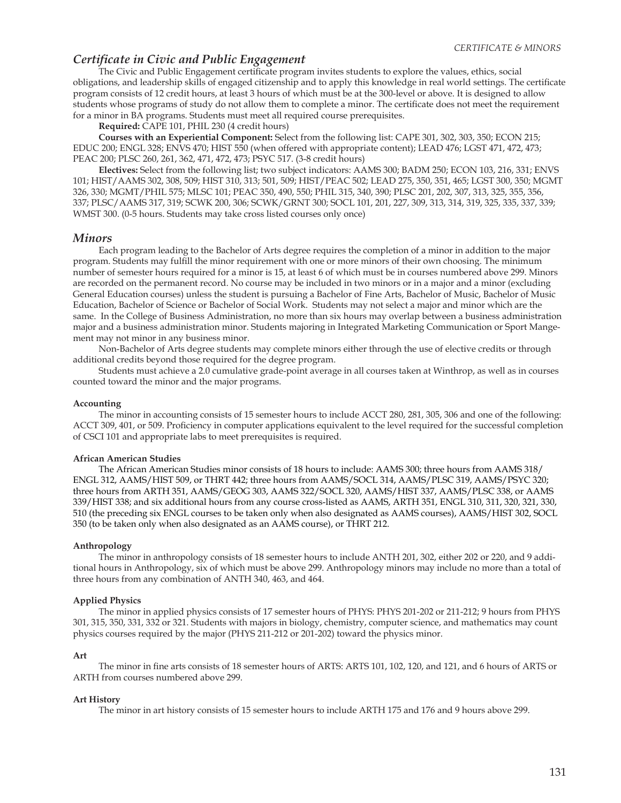# *Certifi cate in Civic and Public Engagement*

The Civic and Public Engagement certificate program invites students to explore the values, ethics, social obligations, and leadership skills of engaged citizenship and to apply this knowledge in real world settings. The certificate program consists of 12 credit hours, at least 3 hours of which must be at the 300-level or above. It is designed to allow students whose programs of study do not allow them to complete a minor. The certificate does not meet the requirement for a minor in BA programs. Students must meet all required course prerequisites.

 **Required:** CAPE 101, PHIL 230 (4 credit hours)

 **Courses with an Experiential Component:** Select from the following list: CAPE 301, 302, 303, 350; ECON 215; EDUC 200; ENGL 328; ENVS 470; HIST 550 (when offered with appropriate content); LEAD 476; LGST 471, 472, 473; PEAC 200; PLSC 260, 261, 362, 471, 472, 473; PSYC 517. (3-8 credit hours)

 **Electives:** Select from the following list; two subject indicators: AAMS 300; BADM 250; ECON 103, 216, 331; ENVS 101; HIST/AAMS 302, 308, 509; HIST 310, 313; 501, 509; HIST/PEAC 502; LEAD 275, 350, 351, 465; LGST 300, 350; MGMT 326, 330; MGMT/PHIL 575; MLSC 101; PEAC 350, 490, 550; PHIL 315, 340, 390; PLSC 201, 202, 307, 313, 325, 355, 356, 337; PLSC/AAMS 317, 319; SCWK 200, 306; SCWK/GRNT 300; SOCL 101, 201, 227, 309, 313, 314, 319, 325, 335, 337, 339; WMST 300. (0-5 hours. Students may take cross listed courses only once)

### *Minors*

 Each program leading to the Bachelor of Arts degree requires the completion of a minor in addition to the major program. Students may fulfill the minor requirement with one or more minors of their own choosing. The minimum number of semester hours required for a minor is 15, at least 6 of which must be in courses numbered above 299. Minors are recorded on the permanent record. No course may be included in two minors or in a major and a minor (excluding General Education courses) unless the student is pursuing a Bachelor of Fine Arts, Bachelor of Music, Bachelor of Music Education, Bachelor of Science or Bachelor of Social Work. Students may not select a major and minor which are the same. In the College of Business Administration, no more than six hours may overlap between a business administration major and a business administration minor. Students majoring in Integrated Marketing Communication or Sport Mangement may not minor in any business minor.

 Non-Bachelor of Arts degree students may complete minors either through the use of elective credits or through additional credits beyond those required for the degree program.

 Students must achieve a 2.0 cumulative grade-point average in all courses taken at Winthrop, as well as in courses counted toward the minor and the major programs.

#### **Accounting**

 The minor in accounting consists of 15 semester hours to include ACCT 280, 281, 305, 306 and one of the following: ACCT 309, 401, or 509. Proficiency in computer applications equivalent to the level required for the successful completion of CSCI 101 and appropriate labs to meet prerequisites is required.

## **African American Studies**

 The African American Studies minor consists of 18 hours to include: AAMS 300; three hours from AAMS 318/ ENGL 312, AAMS/HIST 509, or THRT 442; three hours from AAMS/SOCL 314, AAMS/PLSC 319, AAMS/PSYC 320; three hours from ARTH 351, AAMS/GEOG 303, AAMS 322/SOCL 320, AAMS/HIST 337, AAMS/PLSC 338, or AAMS 339/HIST 338; and six additional hours from any course cross-listed as AAMS, ARTH 351, ENGL 310, 311, 320, 321, 330, 510 (the preceding six ENGL courses to be taken only when also designated as AAMS courses), AAMS/HIST 302, SOCL 350 (to be taken only when also designated as an AAMS course), or THRT 212.

### **Anthropology**

 The minor in anthropology consists of 18 semester hours to include ANTH 201, 302, either 202 or 220, and 9 additional hours in Anthropology, six of which must be above 299. Anthropology minors may include no more than a total of three hours from any combination of ANTH 340, 463, and 464.

### **Applied Physics**

 The minor in applied physics consists of 17 semester hours of PHYS: PHYS 201-202 or 211-212; 9 hours from PHYS 301, 315, 350, 331, 332 or 321. Students with majors in biology, chemistry, computer science, and mathematics may count physics courses required by the major (PHYS 211-212 or 201-202) toward the physics minor.

#### **Art**

The minor in fine arts consists of 18 semester hours of ARTS: ARTS 101, 102, 120, and 121, and 6 hours of ARTS or ARTH from courses numbered above 299.

#### **Art History**

The minor in art history consists of 15 semester hours to include ARTH 175 and 176 and 9 hours above 299.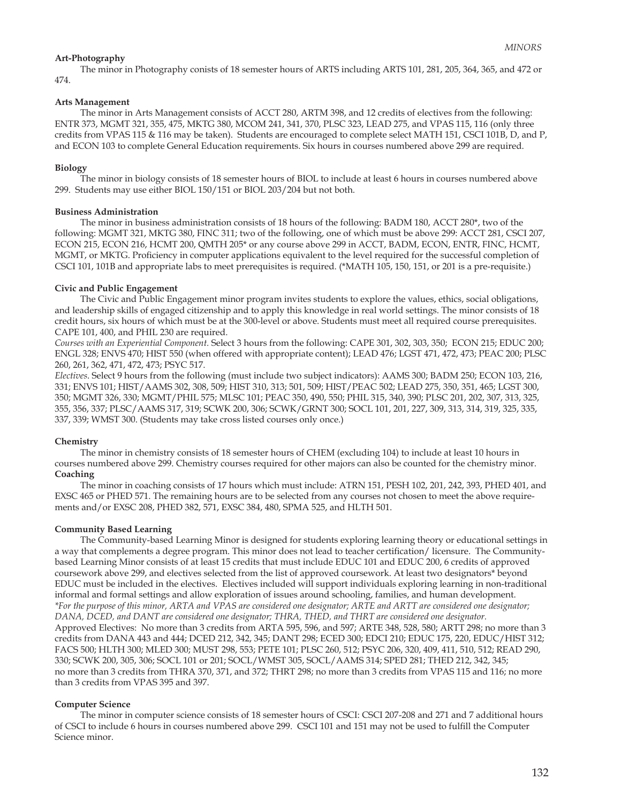# **Art-Photography**

 The minor in Photography conists of 18 semester hours of ARTS including ARTS 101, 281, 205, 364, 365, and 472 or 474.

# **Arts Management**

 The minor in Arts Management consists of ACCT 280, ARTM 398, and 12 credits of electives from the following: ENTR 373, MGMT 321, 355, 475, MKTG 380, MCOM 241, 341, 370, PLSC 323, LEAD 275, and VPAS 115, 116 (only three credits from VPAS 115 & 116 may be taken). Students are encouraged to complete select MATH 151, CSCI 101B, D, and P, and ECON 103 to complete General Education requirements. Six hours in courses numbered above 299 are required.

# **Biology**

 The minor in biology consists of 18 semester hours of BIOL to include at least 6 hours in courses numbered above 299. Students may use either BIOL 150/151 or BIOL 203/204 but not both.

## **Business Administration**

 The minor in business administration consists of 18 hours of the following: BADM 180, ACCT 280\*, two of the following: MGMT 321, MKTG 380, FINC 311; two of the following, one of which must be above 299: ACCT 281, CSCI 207, ECON 215, ECON 216, HCMT 200, QMTH 205\* or any course above 299 in ACCT, BADM, ECON, ENTR, FINC, HCMT, MGMT, or MKTG. Proficiency in computer applications equivalent to the level required for the successful completion of CSCI 101, 101B and appropriate labs to meet prerequisites is required. (\*MATH 105, 150, 151, or 201 is a pre-requisite.)

# **Civic and Public Engagement**

The Civic and Public Engagement minor program invites students to explore the values, ethics, social obligations, and leadership skills of engaged citizenship and to apply this knowledge in real world settings. The minor consists of 18 credit hours, six hours of which must be at the 300-level or above. Students must meet all required course prerequisites. CAPE 101, 400, and PHIL 230 are required.

*Courses with an Experiential Component.* Select 3 hours from the following: CAPE 301, 302, 303, 350; ECON 215; EDUC 200; ENGL 328; ENVS 470; HIST 550 (when offered with appropriate content); LEAD 476; LGST 471, 472, 473; PEAC 200; PLSC 260, 261, 362, 471, 472, 473; PSYC 517.

*Electives*. Select 9 hours from the following (must include two subject indicators): AAMS 300; BADM 250; ECON 103, 216, 331; ENVS 101; HIST/AAMS 302, 308, 509; HIST 310, 313; 501, 509; HIST/PEAC 502; LEAD 275, 350, 351, 465; LGST 300, 350; MGMT 326, 330; MGMT/PHIL 575; MLSC 101; PEAC 350, 490, 550; PHIL 315, 340, 390; PLSC 201, 202, 307, 313, 325, 355, 356, 337; PLSC/AAMS 317, 319; SCWK 200, 306; SCWK/GRNT 300; SOCL 101, 201, 227, 309, 313, 314, 319, 325, 335, 337, 339; WMST 300. (Students may take cross listed courses only once.)

# **Chemistry**

 The minor in chemistry consists of 18 semester hours of CHEM (excluding 104) to include at least 10 hours in courses numbered above 299. Chemistry courses required for other majors can also be counted for the chemistry minor. **Coaching**

 The minor in coaching consists of 17 hours which must include: ATRN 151, PESH 102, 201, 242, 393, PHED 401, and EXSC 465 or PHED 571. The remaining hours are to be selected from any courses not chosen to meet the above requirements and/or EXSC 208, PHED 382, 571, EXSC 384, 480, SPMA 525, and HLTH 501.

# **Community Based Learning**

 The Community-based Learning Minor is designed for students exploring learning theory or educational settings in a way that complements a degree program. This minor does not lead to teacher certification/ licensure. The Communitybased Learning Minor consists of at least 15 credits that must include EDUC 101 and EDUC 200, 6 credits of approved coursework above 299, and electives selected from the list of approved coursework. At least two designators\* beyond EDUC must be included in the electives. Electives included will support individuals exploring learning in non-traditional informal and formal settings and allow exploration of issues around schooling, families, and human development. *\*For the purpose of this minor, ARTA and VPAS are considered one designator; ARTE and ARTT are considered one designator; DANA, DCED, and DANT are considered one designator; THRA, THED, and THRT are considered one designator.*  Approved Electives: No more than 3 credits from ARTA 595, 596, and 597; ARTE 348, 528, 580; ARTT 298; no more than 3 credits from DANA 443 and 444; DCED 212, 342, 345; DANT 298; ECED 300; EDCI 210; EDUC 175, 220, EDUC/HIST 312; FACS 500; HLTH 300; MLED 300; MUST 298, 553; PETE 101; PLSC 260, 512; PSYC 206, 320, 409, 411, 510, 512; READ 290, 330; SCWK 200, 305, 306; SOCL 101 or 201; SOCL/WMST 305, SOCL/AAMS 314; SPED 281; THED 212, 342, 345; no more than 3 credits from THRA 370, 371, and 372; THRT 298; no more than 3 credits from VPAS 115 and 116; no more than 3 credits from VPAS 395 and 397.

# **Computer Science**

 The minor in computer science consists of 18 semester hours of CSCI: CSCI 207-208 and 271 and 7 additional hours of CSCI to include 6 hours in courses numbered above 299. CSCI 101 and 151 may not be used to fulfill the Computer Science minor.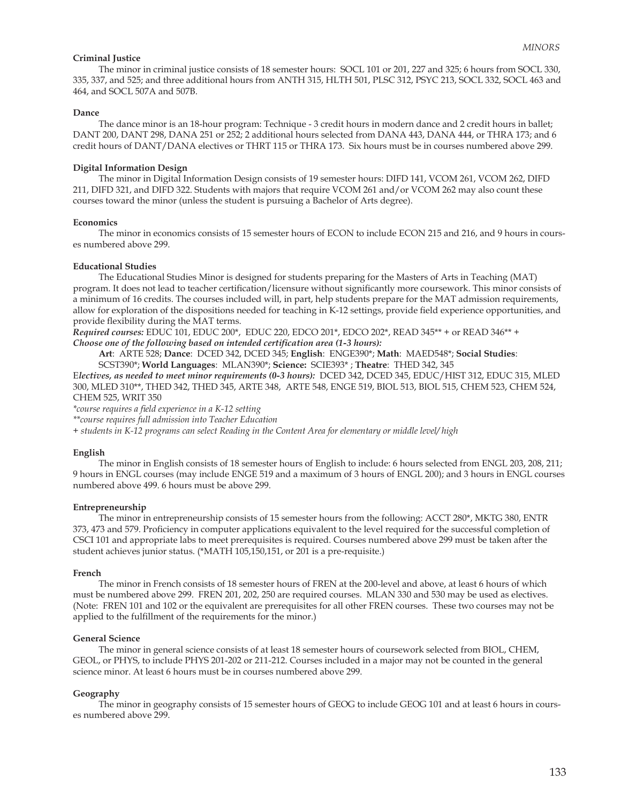### **Criminal Justice**

 The minor in criminal justice consists of 18 semester hours: SOCL 101 or 201, 227 and 325; 6 hours from SOCL 330, 335, 337, and 525; and three additional hours from ANTH 315, HLTH 501, PLSC 312, PSYC 213, SOCL 332, SOCL 463 and 464, and SOCL 507A and 507B.

#### **Dance**

 The dance minor is an 18-hour program: Technique - 3 credit hours in modern dance and 2 credit hours in ballet; DANT 200, DANT 298, DANA 251 or 252; 2 additional hours selected from DANA 443, DANA 444, or THRA 173; and 6 credit hours of DANT/DANA electives or THRT 115 or THRA 173. Six hours must be in courses numbered above 299.

#### **Digital Information Design**

 The minor in Digital Information Design consists of 19 semester hours: DIFD 141, VCOM 261, VCOM 262, DIFD 211, DIFD 321, and DIFD 322. Students with majors that require VCOM 261 and/or VCOM 262 may also count these courses toward the minor (unless the student is pursuing a Bachelor of Arts degree).

### **Economics**

 The minor in economics consists of 15 semester hours of ECON to include ECON 215 and 216, and 9 hours in courses numbered above 299.

### **Educational Studies**

 The Educational Studies Minor is designed for students preparing for the Masters of Arts in Teaching (MAT) program. It does not lead to teacher certification/licensure without significantly more coursework. This minor consists of a minimum of 16 credits. The courses included will, in part, help students prepare for the MAT admission requirements, allow for exploration of the dispositions needed for teaching in K-12 settings, provide field experience opportunities, and provide flexibility during the MAT terms.

*Required courses:* EDUC 101, EDUC 200\*, EDUC 220, EDCO 201\*, EDCO 202\*, READ 345\*\* + or READ 346\*\* +

*Choose one of the following based on intended certification area (1-3 hours):* 

**Art**: ARTE 528; **Dance**: DCED 342, DCED 345; **English**: ENGE390\*; **Math**: MAED548\*; **Social Studies**: SCST390\*; **World Languages**: MLAN390\*; **Science:** SCIE393\* ; **Theatre**: THED 342, 345

E*lectives, as needed to meet minor requirements (0-3 hours):* DCED 342, DCED 345, EDUC/HIST 312, EDUC 315, MLED 300, MLED 310\*\*, THED 342, THED 345, ARTE 348, ARTE 548, ENGE 519, BIOL 513, BIOL 515, CHEM 523, CHEM 524, CHEM 525, WRIT 350

*\*course requires a fi eld experience in a K-12 setting* 

*\*\*course requires full admission into Teacher Education*

*+ students in K-12 programs can select Reading in the Content Area for elementary or middle level/ high*

### **English**

 The minor in English consists of 18 semester hours of English to include: 6 hours selected from ENGL 203, 208, 211; 9 hours in ENGL courses (may include ENGE 519 and a maximum of 3 hours of ENGL 200); and 3 hours in ENGL courses numbered above 499. 6 hours must be above 299.

#### **Entrepreneurship**

 The minor in entrepreneurship consists of 15 semester hours from the following: ACCT 280\*, MKTG 380, ENTR 373, 473 and 579. Proficiency in computer applications equivalent to the level required for the successful completion of CSCI 101 and appropriate labs to meet prerequisites is required. Courses numbered above 299 must be taken after the student achieves junior status. (\*MATH 105,150,151, or 201 is a pre-requisite.)

#### **French**

The minor in French consists of 18 semester hours of FREN at the 200-level and above, at least 6 hours of which must be numbered above 299. FREN 201, 202, 250 are required courses. MLAN 330 and 530 may be used as electives. (Note: FREN 101 and 102 or the equivalent are prerequisites for all other FREN courses. These two courses may not be applied to the fulfillment of the requirements for the minor.)

### **General Science**

 The minor in general science consists of at least 18 semester hours of coursework selected from BIOL, CHEM, GEOL, or PHYS, to include PHYS 201-202 or 211-212. Courses included in a major may not be counted in the general science minor. At least 6 hours must be in courses numbered above 299.

### **Geography**

 The minor in geography consists of 15 semester hours of GEOG to include GEOG 101 and at least 6 hours in courses numbered above 299.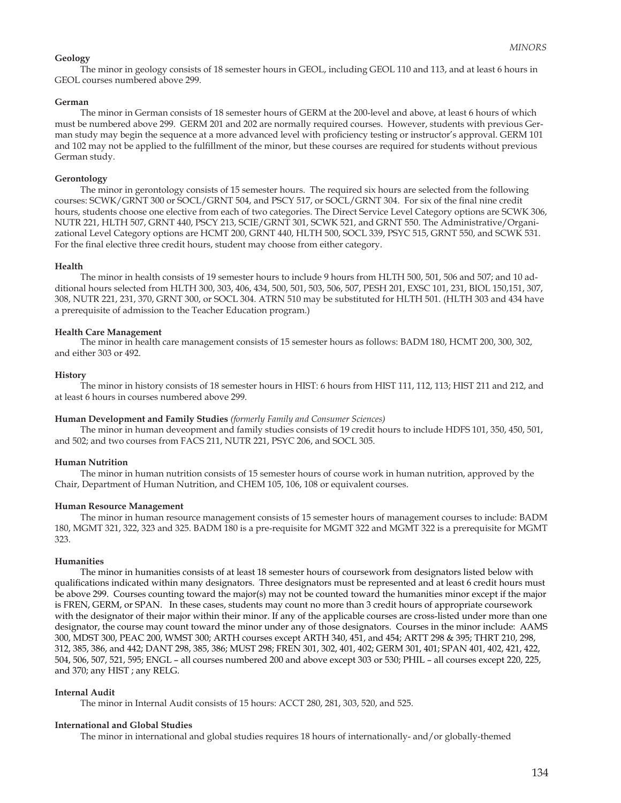## **Geology**

 The minor in geology consists of 18 semester hours in GEOL, including GEOL 110 and 113, and at least 6 hours in GEOL courses numbered above 299.

### **German**

The minor in German consists of 18 semester hours of GERM at the 200-level and above, at least 6 hours of which must be numbered above 299. GERM 201 and 202 are normally required courses. However, students with previous German study may begin the sequence at a more advanced level with proficiency testing or instructor's approval. GERM 101 and 102 may not be applied to the fulfillment of the minor, but these courses are required for students without previous German study.

### **Gerontology**

 The minor in gerontology consists of 15 semester hours. The required six hours are selected from the following courses: SCWK/GRNT 300 or SOCL/GRNT 504, and PSCY 517, or SOCL/GRNT 304. For six of the final nine credit hours, students choose one elective from each of two categories. The Direct Service Level Category options are SCWK 306, NUTR 221, HLTH 507, GRNT 440, PSCY 213, SCIE/GRNT 301, SCWK 521, and GRNT 550. The Administrative/Organizational Level Category options are HCMT 200, GRNT 440, HLTH 500, SOCL 339, PSYC 515, GRNT 550, and SCWK 531. For the final elective three credit hours, student may choose from either category.

### **Health**

 The minor in health consists of 19 semester hours to include 9 hours from HLTH 500, 501, 506 and 507; and 10 additional hours selected from HLTH 300, 303, 406, 434, 500, 501, 503, 506, 507, PESH 201, EXSC 101, 231, BIOL 150,151, 307, 308, NUTR 221, 231, 370, GRNT 300, or SOCL 304. ATRN 510 may be substituted for HLTH 501. (HLTH 303 and 434 have a prerequisite of admission to the Teacher Education program.)

#### **Health Care Management**

 The minor in health care management consists of 15 semester hours as follows: BADM 180, HCMT 200, 300, 302, and either 303 or 492.

#### **History**

 The minor in history consists of 18 semester hours in HIST: 6 hours from HIST 111, 112, 113; HIST 211 and 212, and at least 6 hours in courses numbered above 299.

#### **Human Development and Family Studies** *(formerly Family and Consumer Sciences)*

The minor in human deveopment and family studies consists of 19 credit hours to include HDFS 101, 350, 450, 501, and 502; and two courses from FACS 211, NUTR 221, PSYC 206, and SOCL 305.

#### **Human Nutrition**

 The minor in human nutrition consists of 15 semester hours of course work in human nutrition, approved by the Chair, Department of Human Nutrition, and CHEM 105, 106, 108 or equivalent courses.

#### **Human Resource Management**

The minor in human resource management consists of 15 semester hours of management courses to include: BADM 180, MGMT 321, 322, 323 and 325. BADM 180 is a pre-requisite for MGMT 322 and MGMT 322 is a prerequisite for MGMT 323.

### **Humanities**

 The minor in humanities consists of at least 18 semester hours of coursework from designators listed below with qualifications indicated within many designators. Three designators must be represented and at least 6 credit hours must be above 299. Courses counting toward the major(s) may not be counted toward the humanities minor except if the major is FREN, GERM, or SPAN. In these cases, students may count no more than 3 credit hours of appropriate coursework with the designator of their major within their minor. If any of the applicable courses are cross-listed under more than one designator, the course may count toward the minor under any of those designators. Courses in the minor include: AAMS 300, MDST 300, PEAC 200, WMST 300; ARTH courses except ARTH 340, 451, and 454; ARTT 298 & 395; THRT 210, 298, 312, 385, 386, and 442; DANT 298, 385, 386; MUST 298; FREN 301, 302, 401, 402; GERM 301, 401; SPAN 401, 402, 421, 422, 504, 506, 507, 521, 595; ENGL – all courses numbered 200 and above except 303 or 530; PHIL – all courses except 220, 225, and 370; any HIST ; any RELG.

#### **Internal Audit**

The minor in Internal Audit consists of 15 hours: ACCT 280, 281, 303, 520, and 525.

#### **International and Global Studies**

The minor in international and global studies requires 18 hours of internationally- and/or globally-themed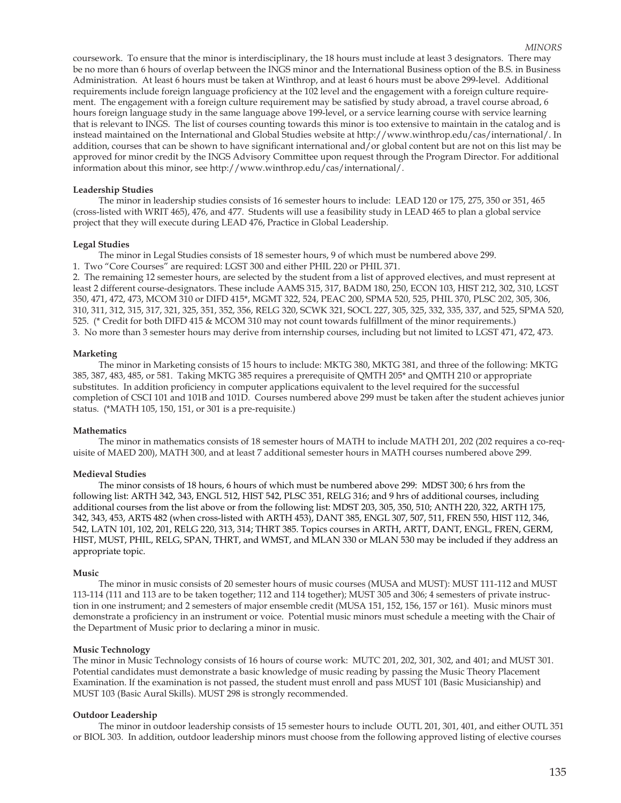coursework. To ensure that the minor is interdisciplinary, the 18 hours must include at least 3 designators. There may be no more than 6 hours of overlap between the INGS minor and the International Business option of the B.S. in Business Administration. At least 6 hours must be taken at Winthrop, and at least 6 hours must be above 299-level. Additional requirements include foreign language proficiency at the 102 level and the engagement with a foreign culture requirement. The engagement with a foreign culture requirement may be satisfied by study abroad, a travel course abroad, 6 hours foreign language study in the same language above 199-level, or a service learning course with service learning that is relevant to INGS. The list of courses counting towards this minor is too extensive to maintain in the catalog and is instead maintained on the International and Global Studies website at http://www.winthrop.edu/cas/international/. In addition, courses that can be shown to have significant international and/or global content but are not on this list may be approved for minor credit by the INGS Advisory Committee upon request through the Program Director. For additional information about this minor, see http://www.winthrop.edu/cas/international/.

# **Leadership Studies**

 The minor in leadership studies consists of 16 semester hours to include: LEAD 120 or 175, 275, 350 or 351, 465 (cross-listed with WRIT 465), 476, and 477. Students will use a feasibility study in LEAD 465 to plan a global service project that they will execute during LEAD 476, Practice in Global Leadership.

## **Legal Studies**

The minor in Legal Studies consists of 18 semester hours, 9 of which must be numbered above 299.

1. Two "Core Courses" are required: LGST 300 and either PHIL 220 or PHIL 371.

2. The remaining 12 semester hours, are selected by the student from a list of approved electives, and must represent at least 2 different course-designators. These include AAMS 315, 317, BADM 180, 250, ECON 103, HIST 212, 302, 310, LGST 350, 471, 472, 473, MCOM 310 or DIFD 415\*, MGMT 322, 524, PEAC 200, SPMA 520, 525, PHIL 370, PLSC 202, 305, 306, 310, 311, 312, 315, 317, 321, 325, 351, 352, 356, RELG 320, SCWK 321, SOCL 227, 305, 325, 332, 335, 337, and 525, SPMA 520, 525. (\* Credit for both DIFD 415 & MCOM 310 may not count towards fulfillment of the minor requirements.) 3. No more than 3 semester hours may derive from internship courses, including but not limited to LGST 471, 472, 473.

# **Marketing**

 The minor in Marketing consists of 15 hours to include: MKTG 380, MKTG 381, and three of the following: MKTG 385, 387, 483, 485, or 581. Taking MKTG 385 requires a prerequisite of QMTH 205\* and QMTH 210 or appropriate substitutes. In addition proficiency in computer applications equivalent to the level required for the successful completion of CSCI 101 and 101B and 101D. Courses numbered above 299 must be taken after the student achieves junior status. (\*MATH 105, 150, 151, or 301 is a pre-requisite.)

# **Mathematics**

 The minor in mathematics consists of 18 semester hours of MATH to include MATH 201, 202 (202 requires a co-requisite of MAED 200), MATH 300, and at least 7 additional semester hours in MATH courses numbered above 299.

# **Medieval Studies**

 The minor consists of 18 hours, 6 hours of which must be numbered above 299: MDST 300; 6 hrs from the following list: ARTH 342, 343, ENGL 512, HIST 542, PLSC 351, RELG 316; and 9 hrs of additional courses, including additional courses from the list above or from the following list: MDST 203, 305, 350, 510; ANTH 220, 322, ARTH 175, 342, 343, 453, ARTS 482 (when cross-listed with ARTH 453), DANT 385, ENGL 307, 507, 511, FREN 550, HIST 112, 346, 542, LATN 101, 102, 201, RELG 220, 313, 314; THRT 385. Topics courses in ARTH, ARTT, DANT, ENGL, FREN, GERM, HIST, MUST, PHIL, RELG, SPAN, THRT, and WMST, and MLAN 330 or MLAN 530 may be included if they address an appropriate topic.

### **Music**

 The minor in music consists of 20 semester hours of music courses (MUSA and MUST): MUST 111-112 and MUST 113-114 (111 and 113 are to be taken together; 112 and 114 together); MUST 305 and 306; 4 semesters of private instruction in one instrument; and 2 semesters of major ensemble credit (MUSA 151, 152, 156, 157 or 161). Music minors must demonstrate a proficiency in an instrument or voice. Potential music minors must schedule a meeting with the Chair of the Department of Music prior to declaring a minor in music.

# **Music Technology**

The minor in Music Technology consists of 16 hours of course work: MUTC 201, 202, 301, 302, and 401; and MUST 301. Potential candidates must demonstrate a basic knowledge of music reading by passing the Music Theory Placement Examination. If the examination is not passed, the student must enroll and pass MUST 101 (Basic Musicianship) and MUST 103 (Basic Aural Skills). MUST 298 is strongly recommended.

# **Outdoor Leadership**

 The minor in outdoor leadership consists of 15 semester hours to include OUTL 201, 301, 401, and either OUTL 351 or BIOL 303. In addition, outdoor leadership minors must choose from the following approved listing of elective courses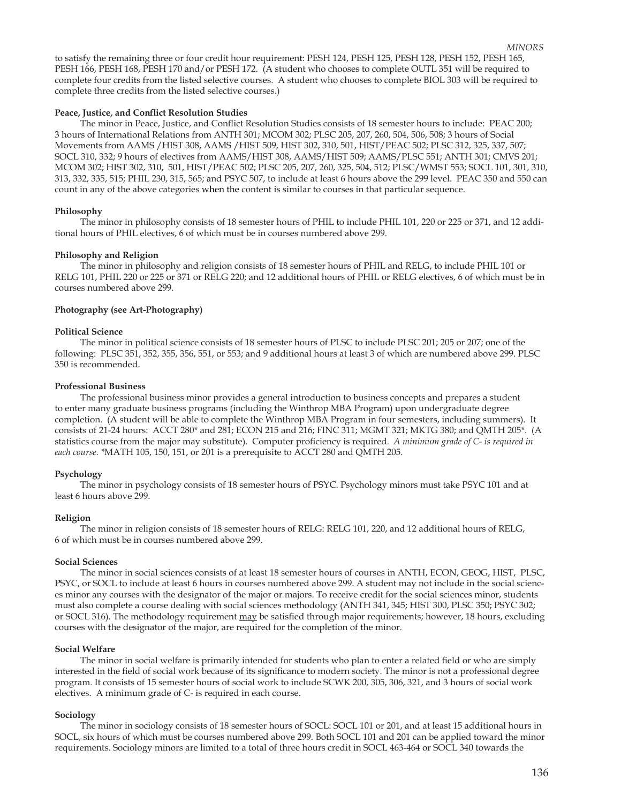to satisfy the remaining three or four credit hour requirement: PESH 124, PESH 125, PESH 128, PESH 152, PESH 165, PESH 166, PESH 168, PESH 170 and/or PESH 172. (A student who chooses to complete OUTL 351 will be required to complete four credits from the listed selective courses. A student who chooses to complete BIOL 303 will be required to complete three credits from the listed selective courses.)  *MINORS*

# Peace, Justice, and Conflict Resolution Studies

The minor in Peace, Justice, and Conflict Resolution Studies consists of 18 semester hours to include: PEAC 200; 3 hours of International Relations from ANTH 301; MCOM 302; PLSC 205, 207, 260, 504, 506, 508; 3 hours of Social Movements from AAMS /HIST 308, AAMS /HIST 509, HIST 302, 310, 501, HIST/PEAC 502; PLSC 312, 325, 337, 507; SOCL 310, 332; 9 hours of electives from AAMS/HIST 308, AAMS/HIST 509; AAMS/PLSC 551; ANTH 301; CMVS 201; MCOM 302; HIST 302, 310, 501, HIST/PEAC 502; PLSC 205, 207, 260, 325, 504, 512; PLSC/WMST 553; SOCL 101, 301, 310, 313, 332, 335, 515; PHIL 230, 315, 565; and PSYC 507, to include at least 6 hours above the 299 level. PEAC 350 and 550 can count in any of the above categories when the content is similar to courses in that particular sequence.

# **Philosophy**

 The minor in philosophy consists of 18 semester hours of PHIL to include PHIL 101, 220 or 225 or 371, and 12 additional hours of PHIL electives, 6 of which must be in courses numbered above 299.

## **Philosophy and Religion**

 The minor in philosophy and religion consists of 18 semester hours of PHIL and RELG, to include PHIL 101 or RELG 101, PHIL 220 or 225 or 371 or RELG 220; and 12 additional hours of PHIL or RELG electives, 6 of which must be in courses numbered above 299.

## **Photography (see Art-Photography)**

### **Political Science**

 The minor in political science consists of 18 semester hours of PLSC to include PLSC 201; 205 or 207; one of the following: PLSC 351, 352, 355, 356, 551, or 553; and 9 additional hours at least 3 of which are numbered above 299. PLSC 350 is recommended.

## **Professional Business**

The professional business minor provides a general introduction to business concepts and prepares a student to enter many graduate business programs (including the Winthrop MBA Program) upon undergraduate degree completion. (A student will be able to complete the Winthrop MBA Program in four semesters, including summers). It consists of 21-24 hours: ACCT 280\* and 281; ECON 215 and 216; FINC 311; MGMT 321; MKTG 380; and QMTH 205\*. (A statistics course from the major may substitute). Computer proficiency is required. A minimum grade of C- is required in *each course. \**MATH 105, 150, 151, or 201 is a prerequisite to ACCT 280 and QMTH 205.

# **Psychology**

 The minor in psychology consists of 18 semester hours of PSYC. Psychology minors must take PSYC 101 and at least 6 hours above 299.

# **Religion**

The minor in religion consists of 18 semester hours of RELG: RELG 101, 220, and 12 additional hours of RELG, 6 of which must be in courses numbered above 299.

### **Social Sciences**

 The minor in social sciences consists of at least 18 semester hours of courses in ANTH, ECON, GEOG, HIST, PLSC, PSYC, or SOCL to include at least 6 hours in courses numbered above 299. A student may not include in the social sciences minor any courses with the designator of the major or majors. To receive credit for the social sciences minor, students must also complete a course dealing with social sciences methodology (ANTH 341, 345; HIST 300, PLSC 350; PSYC 302; or SOCL 316). The methodology requirement may be satisfied through major requirements; however, 18 hours, excluding courses with the designator of the major, are required for the completion of the minor.

### **Social Welfare**

The minor in social welfare is primarily intended for students who plan to enter a related field or who are simply interested in the field of social work because of its significance to modern society. The minor is not a professional degree program. It consists of 15 semester hours of social work to include SCWK 200, 305, 306, 321, and 3 hours of social work electives. A minimum grade of C- is required in each course.

# **Sociology**

 The minor in sociology consists of 18 semester hours of SOCL: SOCL 101 or 201, and at least 15 additional hours in SOCL, six hours of which must be courses numbered above 299. Both SOCL 101 and 201 can be applied toward the minor requirements. Sociology minors are limited to a total of three hours credit in SOCL 463-464 or SOCL 340 towards the